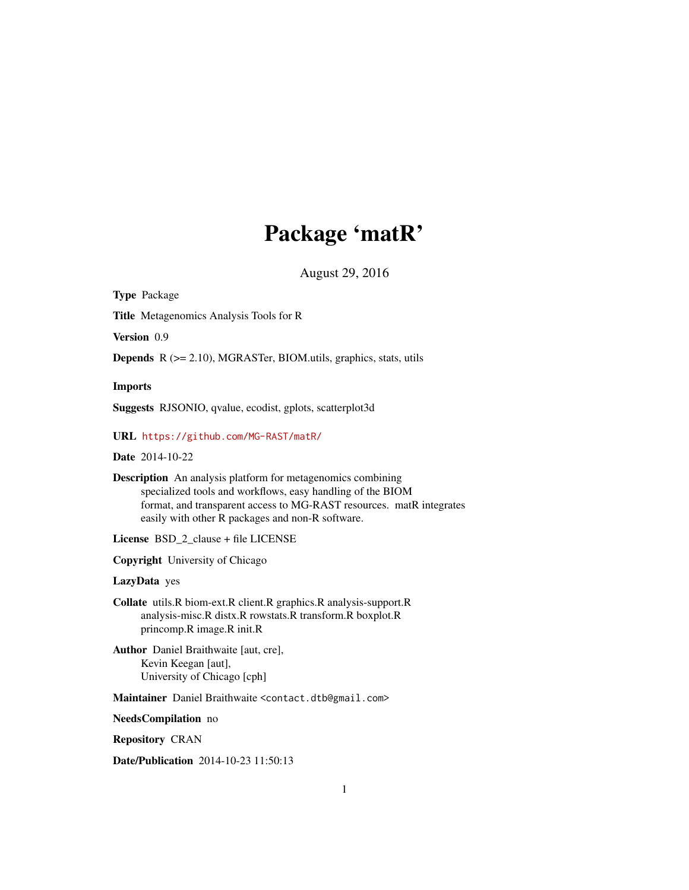# Package 'matR'

August 29, 2016

<span id="page-0-0"></span>Type Package

Title Metagenomics Analysis Tools for R

Version 0.9

Depends R (>= 2.10), MGRASTer, BIOM.utils, graphics, stats, utils

Imports

Suggests RJSONIO, qvalue, ecodist, gplots, scatterplot3d

URL <https://github.com/MG-RAST/matR/>

Date 2014-10-22

Description An analysis platform for metagenomics combining specialized tools and workflows, easy handling of the BIOM format, and transparent access to MG-RAST resources. matR integrates easily with other R packages and non-R software.

License BSD\_2\_clause + file LICENSE

Copyright University of Chicago

LazyData yes

Collate utils.R biom-ext.R client.R graphics.R analysis-support.R analysis-misc.R distx.R rowstats.R transform.R boxplot.R princomp.R image.R init.R

Author Daniel Braithwaite [aut, cre], Kevin Keegan [aut], University of Chicago [cph]

Maintainer Daniel Braithwaite <contact.dtb@gmail.com>

NeedsCompilation no

Repository CRAN

Date/Publication 2014-10-23 11:50:13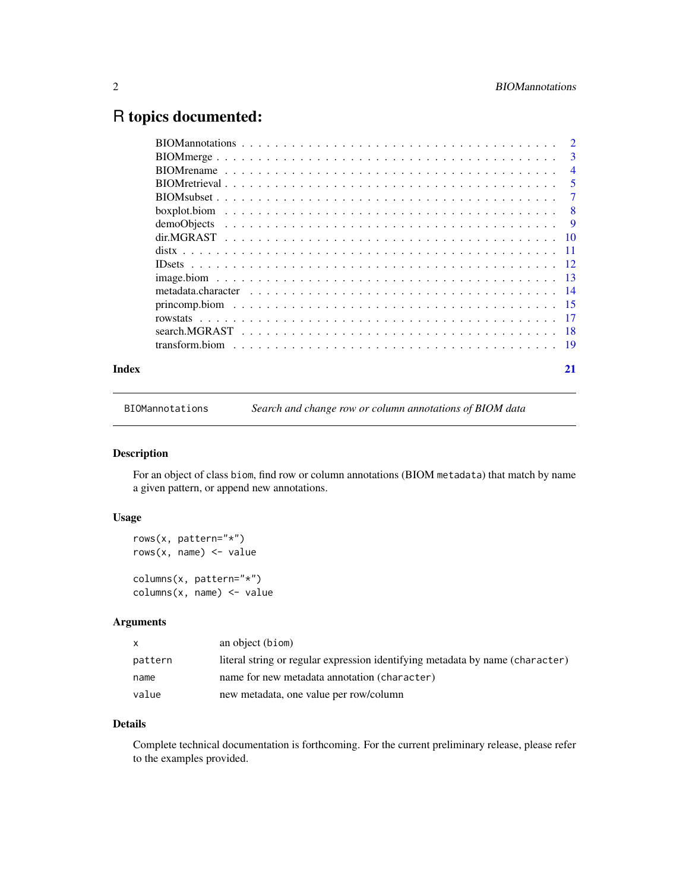# <span id="page-1-0"></span>R topics documented:

|       | $\overline{4}$                                                                                              |
|-------|-------------------------------------------------------------------------------------------------------------|
|       | $\sqrt{5}$                                                                                                  |
|       |                                                                                                             |
|       |                                                                                                             |
|       |                                                                                                             |
|       |                                                                                                             |
|       |                                                                                                             |
|       |                                                                                                             |
|       |                                                                                                             |
|       |                                                                                                             |
|       |                                                                                                             |
|       |                                                                                                             |
|       | search. MGRAST $\ldots \ldots \ldots \ldots \ldots \ldots \ldots \ldots \ldots \ldots \ldots \ldots \ldots$ |
|       |                                                                                                             |
| Index | 21                                                                                                          |

BIOMannotations *Search and change row or column annotations of BIOM data*

#### Description

For an object of class biom, find row or column annotations (BIOM metadata) that match by name a given pattern, or append new annotations.

#### Usage

```
rows(x, pattern="*")
rows(x, name) \leq value
columns(x, pattern="*")
columns(x, name) <- value
```
## Arguments

| X       | an object (biom)                                                              |
|---------|-------------------------------------------------------------------------------|
| pattern | literal string or regular expression identifying metadata by name (character) |
| name    | name for new metadata annotation (character)                                  |
| value   | new metadata, one value per row/column                                        |

### Details

Complete technical documentation is forthcoming. For the current preliminary release, please refer to the examples provided.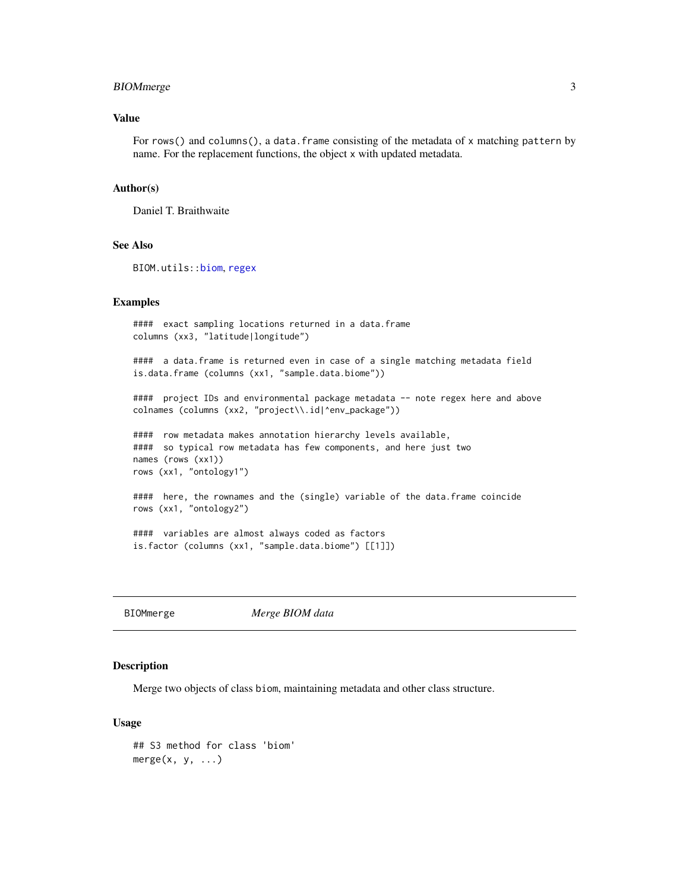#### <span id="page-2-0"></span>BIOMmerge 3

#### Value

For rows() and columns(), a data.frame consisting of the metadata of x matching pattern by name. For the replacement functions, the object x with updated metadata.

#### Author(s)

Daniel T. Braithwaite

#### See Also

BIOM.utils:[:biom](#page-0-0), [regex](#page-0-0)

#### Examples

```
#### exact sampling locations returned in a data.frame
columns (xx3, "latitude|longitude")
#### a data.frame is returned even in case of a single matching metadata field
is.data.frame (columns (xx1, "sample.data.biome"))
#### project IDs and environmental package metadata -- note regex here and above
colnames (columns (xx2, "project\\.id|^env_package"))
#### row metadata makes annotation hierarchy levels available,
#### so typical row metadata has few components, and here just two
names (rows (xx1))
rows (xx1, "ontology1")
#### here, the rownames and the (single) variable of the data.frame coincide
rows (xx1, "ontology2")
#### variables are almost always coded as factors
is.factor (columns (xx1, "sample.data.biome") [[1]])
```
BIOMmerge *Merge BIOM data*

#### Description

Merge two objects of class biom, maintaining metadata and other class structure.

#### Usage

```
## S3 method for class 'biom'
merge(x, y, \ldots)
```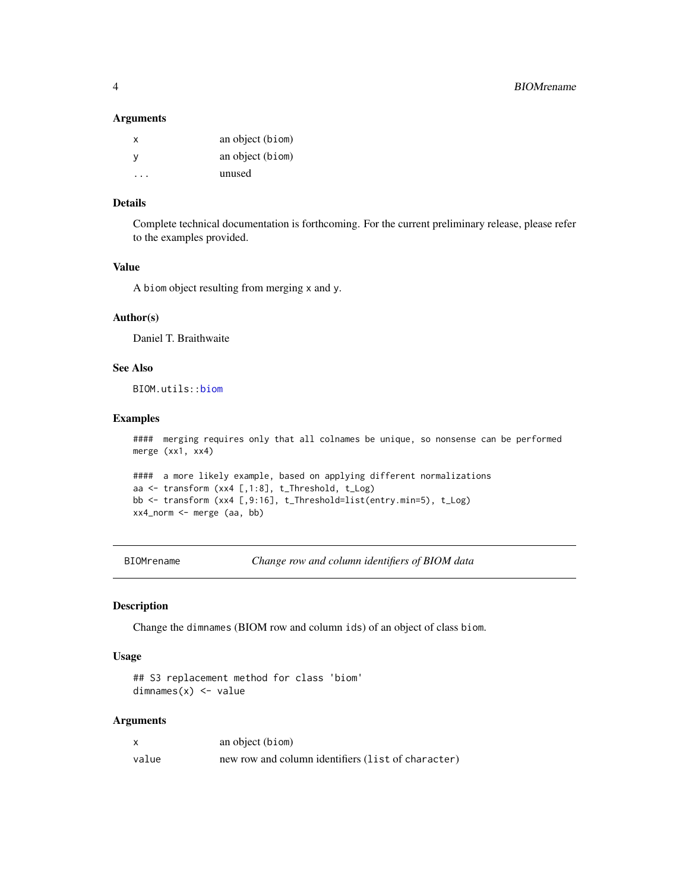#### <span id="page-3-0"></span>**Arguments**

| x | an object (biom) |
|---|------------------|
| ٧ | an object (biom) |
|   | unused           |

#### Details

Complete technical documentation is forthcoming. For the current preliminary release, please refer to the examples provided.

#### Value

A biom object resulting from merging x and y.

#### Author(s)

Daniel T. Braithwaite

#### See Also

BIOM.utils:[:biom](#page-0-0)

#### Examples

```
#### merging requires only that all colnames be unique, so nonsense can be performed
merge (xx1, xx4)
```

```
#### a more likely example, based on applying different normalizations
aa <- transform (xx4 [,1:8], t_Threshold, t_Log)
bb <- transform (xx4 [,9:16], t_Threshold=list(entry.min=5), t_Log)
xx4_norm <- merge (aa, bb)
```
BIOMrename *Change row and column identifiers of BIOM data*

#### Description

Change the dimnames (BIOM row and column ids) of an object of class biom.

#### Usage

```
## S3 replacement method for class 'biom'
dimnames(x) <- value
```
#### Arguments

|       | an object (biom)                                   |
|-------|----------------------------------------------------|
| value | new row and column identifiers (list of character) |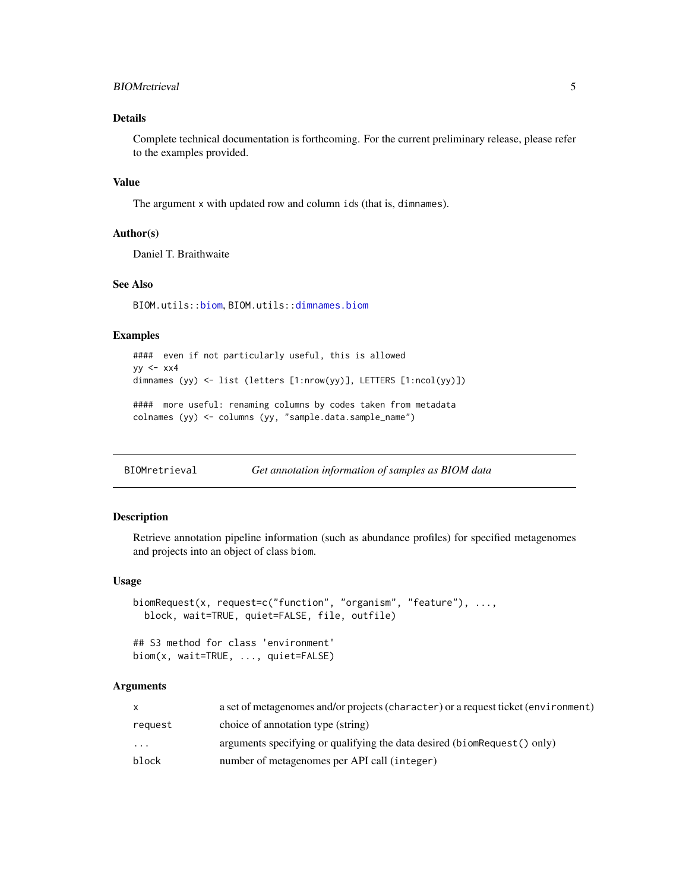#### <span id="page-4-0"></span>BIOMretrieval 5

#### Details

Complete technical documentation is forthcoming. For the current preliminary release, please refer to the examples provided.

#### Value

The argument x with updated row and column ids (that is, dimnames).

#### Author(s)

Daniel T. Braithwaite

#### See Also

BIOM.utils:[:biom](#page-0-0), BIOM.utils:[:dimnames.biom](#page-0-0)

#### Examples

```
#### even if not particularly useful, this is allowed
yy < - xx4dimnames (yy) <- list (letters [1:nrow(yy)], LETTERS [1:ncol(yy)])
#### more useful: renaming columns by codes taken from metadata
colnames (yy) <- columns (yy, "sample.data.sample_name")
```
BIOMretrieval *Get annotation information of samples as BIOM data*

#### <span id="page-4-1"></span>Description

Retrieve annotation pipeline information (such as abundance profiles) for specified metagenomes and projects into an object of class biom.

#### Usage

```
biomRequest(x, request=c("function", "organism", "feature"), ...,
 block, wait=TRUE, quiet=FALSE, file, outfile)
```
## S3 method for class 'environment' biom(x, wait=TRUE, ..., quiet=FALSE)

#### Arguments

|           | a set of metagenomes and/or projects (character) or a request ticket (environment) |
|-----------|------------------------------------------------------------------------------------|
| request   | choice of annotation type (string)                                                 |
| $\ddotsc$ | arguments specifying or qualifying the data desired (biomRequest() only)           |
| block     | number of metagenomes per API call (integer)                                       |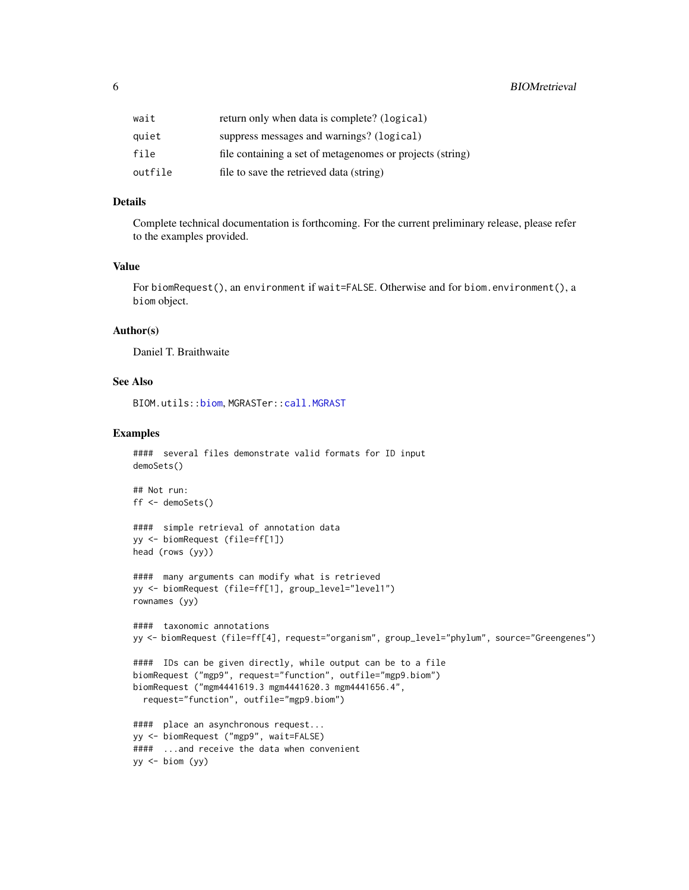<span id="page-5-0"></span>

| wait    | return only when data is complete? (logical)              |
|---------|-----------------------------------------------------------|
| quiet   | suppress messages and warnings? (logical)                 |
| file    | file containing a set of metagenomes or projects (string) |
| outfile | file to save the retrieved data (string)                  |

#### Details

Complete technical documentation is forthcoming. For the current preliminary release, please refer to the examples provided.

#### Value

For biomRequest(), an environment if wait=FALSE. Otherwise and for biom.environment(), a biom object.

#### Author(s)

Daniel T. Braithwaite

#### See Also

BIOM.utils:[:biom](#page-0-0), MGRASTer:[:call.MGRAST](#page-0-0)

#### Examples

```
#### several files demonstrate valid formats for ID input
demoSets()
## Not run:
ff <- demoSets()
#### simple retrieval of annotation data
yy <- biomRequest (file=ff[1])
head (rows (yy))
#### many arguments can modify what is retrieved
yy <- biomRequest (file=ff[1], group_level="level1")
rownames (yy)
#### taxonomic annotations
yy <- biomRequest (file=ff[4], request="organism", group_level="phylum", source="Greengenes")
#### IDs can be given directly, while output can be to a file
biomRequest ("mgp9", request="function", outfile="mgp9.biom")
biomRequest ("mgm4441619.3 mgm4441620.3 mgm4441656.4",
  request="function", outfile="mgp9.biom")
#### place an asynchronous request...
yy <- biomRequest ("mgp9", wait=FALSE)
#### ...and receive the data when convenient
yy \le- biom (yy)
```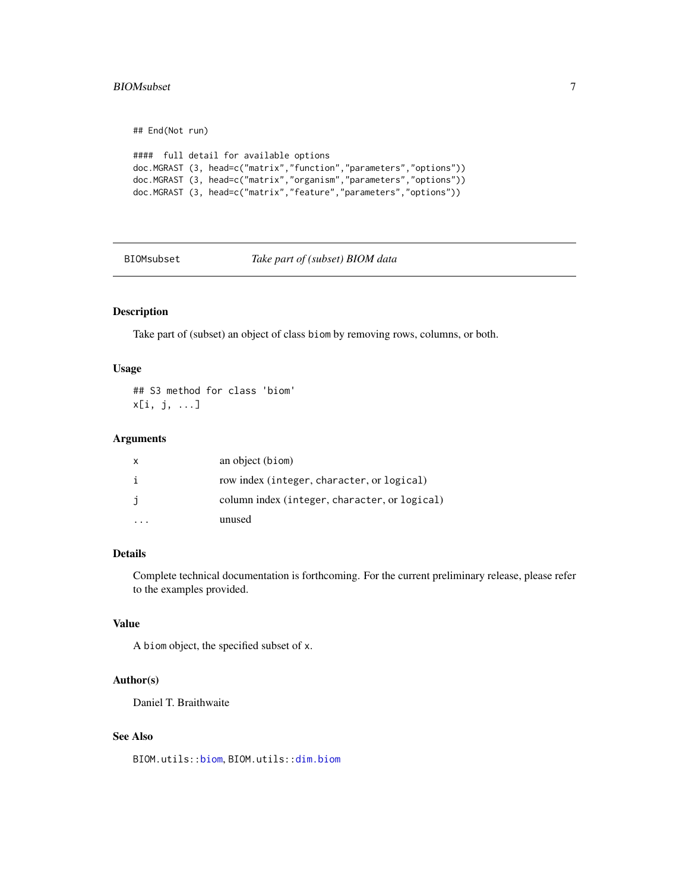#### <span id="page-6-0"></span>BIOMsubset 7

```
## End(Not run)
#### full detail for available options
doc.MGRAST (3, head=c("matrix","function","parameters","options"))
doc.MGRAST (3, head=c("matrix","organism","parameters","options"))
doc.MGRAST (3, head=c("matrix","feature","parameters","options"))
```
#### BIOMsubset *Take part of (subset) BIOM data*

#### Description

Take part of (subset) an object of class biom by removing rows, columns, or both.

#### Usage

## S3 method for class 'biom' x[i, j, ...]

#### Arguments

| X | an object (biom)                              |
|---|-----------------------------------------------|
| i | row index (integer, character, or logical)    |
| j | column index (integer, character, or logical) |
|   | unused                                        |

#### Details

Complete technical documentation is forthcoming. For the current preliminary release, please refer to the examples provided.

#### Value

A biom object, the specified subset of x.

#### Author(s)

Daniel T. Braithwaite

#### See Also

BIOM.utils:[:biom](#page-0-0), BIOM.utils:[:dim.biom](#page-0-0)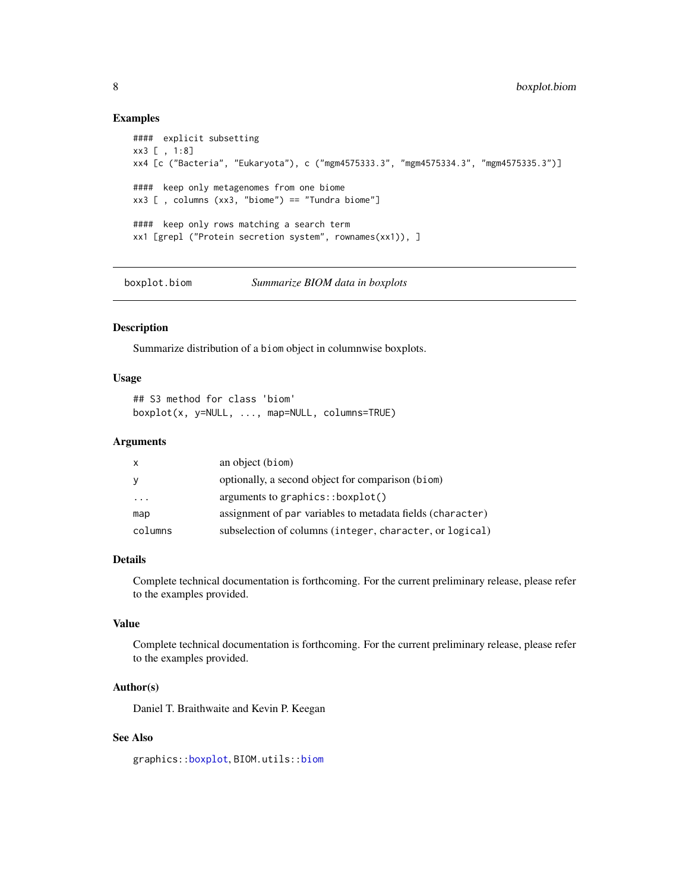#### Examples

```
#### explicit subsetting
xx3 [ , 1:8]
xx4 [c ("Bacteria", "Eukaryota"), c ("mgm4575333.3", "mgm4575334.3", "mgm4575335.3")]
#### keep only metagenomes from one biome
xx3 [ , columns (xx3, "biome") == "Tundra biome"]
#### keep only rows matching a search term
xx1 [grepl ("Protein secretion system", rownames(xx1)), ]
```
boxplot.biom *Summarize BIOM data in boxplots*

#### <span id="page-7-1"></span>Description

Summarize distribution of a biom object in columnwise boxplots.

#### Usage

```
## S3 method for class 'biom'
boxplot(x, y=NULL, ..., map=NULL, columns=TRUE)
```
#### Arguments

| x                       | an object (biom)                                           |
|-------------------------|------------------------------------------------------------|
| У                       | optionally, a second object for comparison (biom)          |
| $\cdot$ $\cdot$ $\cdot$ | arguments to graphics: boxplot()                           |
| map                     | assignment of par variables to metadata fields (character) |
| columns                 | subselection of columns (integer, character, or logical)   |

#### Details

Complete technical documentation is forthcoming. For the current preliminary release, please refer to the examples provided.

### Value

Complete technical documentation is forthcoming. For the current preliminary release, please refer to the examples provided.

#### Author(s)

Daniel T. Braithwaite and Kevin P. Keegan

#### See Also

graphics:[:boxplot](#page-7-1), BIOM.utils:[:biom](#page-0-0)

<span id="page-7-0"></span>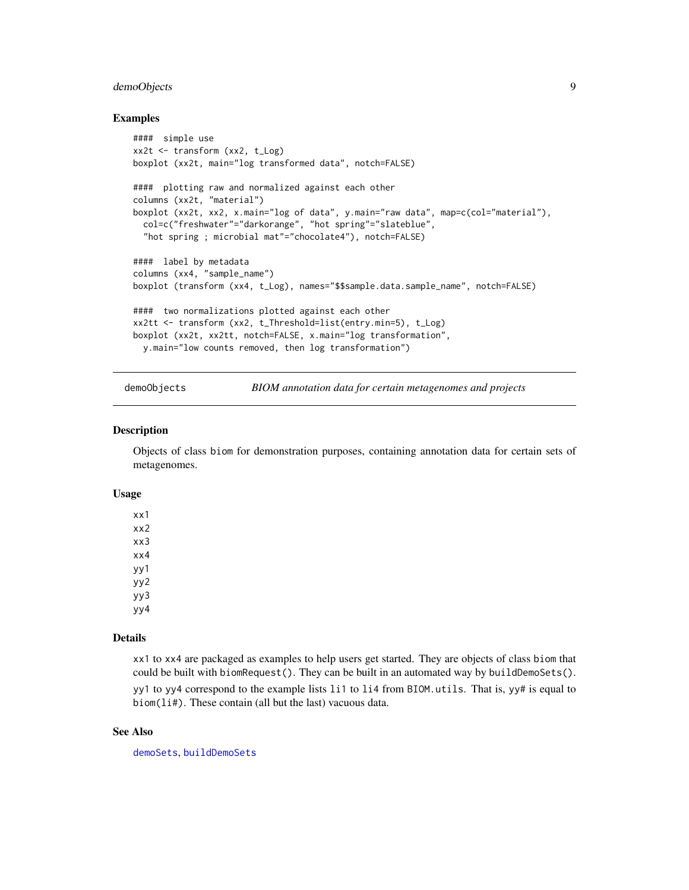#### <span id="page-8-0"></span>demoObjects 9

#### Examples

```
#### simple use
xx2t <- transform (xx2, t_Log)
boxplot (xx2t, main="log transformed data", notch=FALSE)
#### plotting raw and normalized against each other
columns (xx2t, "material")
boxplot (xx2t, xx2, x.main="log of data", y.main="raw data", map=c(col="material"),
  col=c("freshwater"="darkorange", "hot spring"="slateblue",
  "hot spring ; microbial mat"="chocolate4"), notch=FALSE)
#### label by metadata
columns (xx4, "sample_name")
boxplot (transform (xx4, t_Log), names="$$sample.data.sample_name", notch=FALSE)
#### two normalizations plotted against each other
xx2tt <- transform (xx2, t_Threshold=list(entry.min=5), t_Log)
boxplot (xx2t, xx2tt, notch=FALSE, x.main="log transformation",
  y.main="low counts removed, then log transformation")
```
demoObjects *BIOM annotation data for certain metagenomes and projects*

#### Description

Objects of class biom for demonstration purposes, containing annotation data for certain sets of metagenomes.

#### Usage

xx1 xx2 xx3 xx4 yy1 yy2 yy3 yy4

#### Details

xx1 to xx4 are packaged as examples to help users get started. They are objects of class biom that could be built with biomRequest(). They can be built in an automated way by buildDemoSets().

yy1 to yy4 correspond to the example lists 1i1 to 1i4 from BIOM.utils. That is, yy# is equal to biom(li#). These contain (all but the last) vacuous data.

#### See Also

[demoSets](#page-0-0), [buildDemoSets](#page-0-0)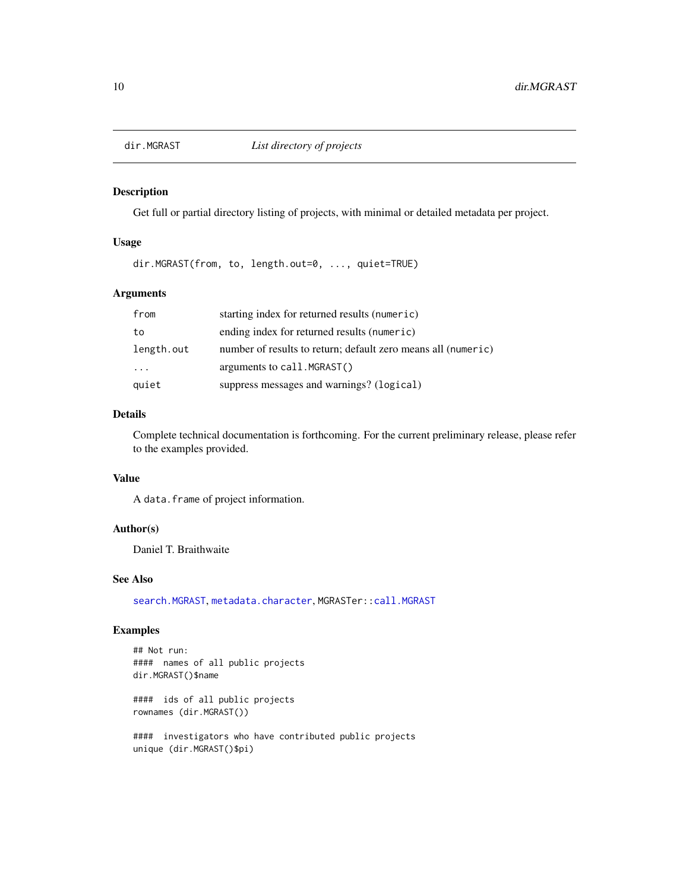<span id="page-9-1"></span><span id="page-9-0"></span>

#### Description

Get full or partial directory listing of projects, with minimal or detailed metadata per project.

#### Usage

dir.MGRAST(from, to, length.out=0, ..., quiet=TRUE)

#### Arguments

| from       | starting index for returned results (numeric)                 |
|------------|---------------------------------------------------------------|
| to         | ending index for returned results (numeric)                   |
| length.out | number of results to return; default zero means all (numeric) |
| $\cdots$   | arguments to call. MGRAST()                                   |
| quiet      | suppress messages and warnings? (logical)                     |

### Details

Complete technical documentation is forthcoming. For the current preliminary release, please refer to the examples provided.

#### Value

A data.frame of project information.

# Author(s)

Daniel T. Braithwaite

#### See Also

[search.MGRAST](#page-17-1), [metadata.character](#page-13-1), MGRASTer:[:call.MGRAST](#page-0-0)

#### Examples

## Not run: #### names of all public projects dir.MGRAST()\$name

#### ids of all public projects rownames (dir.MGRAST())

#### investigators who have contributed public projects unique (dir.MGRAST()\$pi)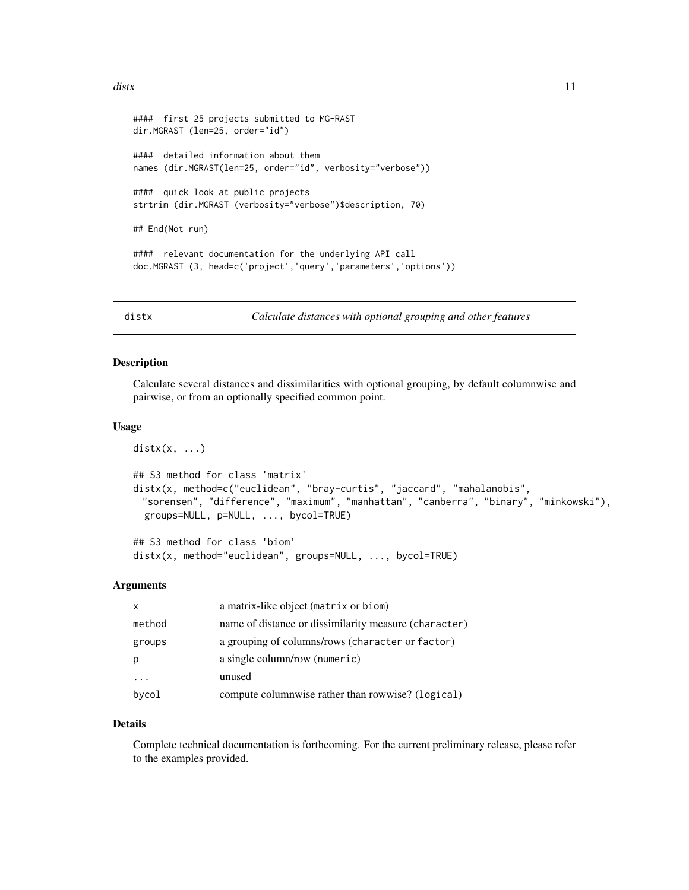```
#### first 25 projects submitted to MG-RAST
dir.MGRAST (len=25, order="id")
#### detailed information about them
names (dir.MGRAST(len=25, order="id", verbosity="verbose"))
#### quick look at public projects
strtrim (dir.MGRAST (verbosity="verbose")$description, 70)
## End(Not run)
#### relevant documentation for the underlying API call
doc.MGRAST (3, head=c('project','query','parameters','options'))
```
<span id="page-10-1"></span>

distx *Calculate distances with optional grouping and other features*

#### Description

Calculate several distances and dissimilarities with optional grouping, by default columnwise and pairwise, or from an optionally specified common point.

#### Usage

```
distx(x, \ldots)
```

```
## S3 method for class 'matrix'
distx(x, method=c("euclidean", "bray-curtis", "jaccard", "mahalanobis",
 "sorensen", "difference", "maximum", "manhattan", "canberra", "binary", "minkowski"),
 groups=NULL, p=NULL, ..., bycol=TRUE)
```

```
## S3 method for class 'biom'
distx(x, method="euclidean", groups=NULL, ..., bycol=TRUE)
```
#### Arguments

| $\mathsf{x}$ | a matrix-like object (matrix or biom)                 |
|--------------|-------------------------------------------------------|
| method       | name of distance or dissimilarity measure (character) |
| groups       | a grouping of columns/rows (character or factor)      |
| р            | a single column/row (numeric)                         |
|              | unused                                                |
| bycol        | compute columnwise rather than rowwise? (logical)     |

#### Details

Complete technical documentation is forthcoming. For the current preliminary release, please refer to the examples provided.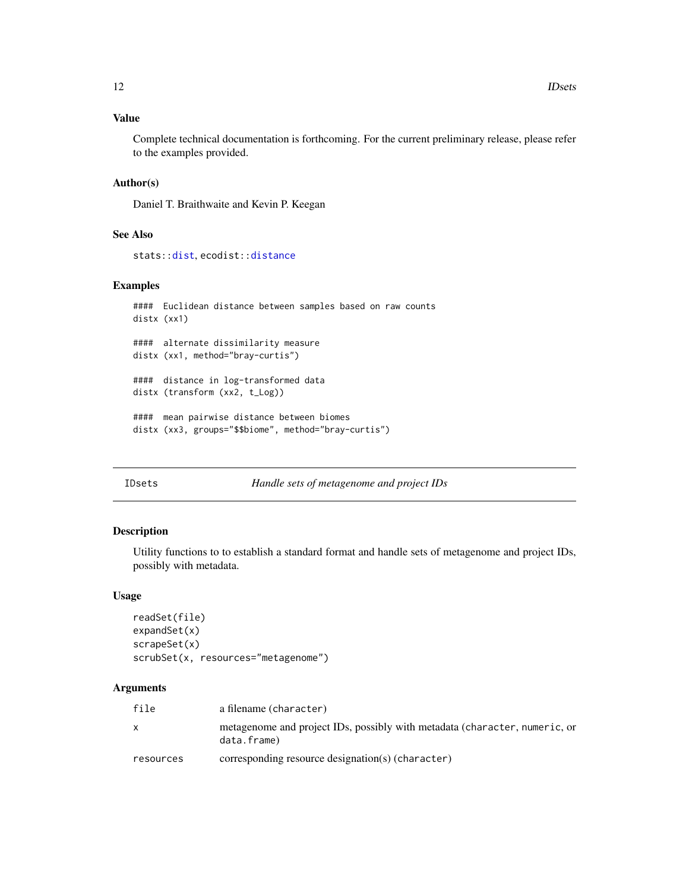#### <span id="page-11-0"></span>Value

Complete technical documentation is forthcoming. For the current preliminary release, please refer to the examples provided.

#### Author(s)

Daniel T. Braithwaite and Kevin P. Keegan

### See Also

stats:[:dist](#page-0-0), ecodist:[:distance](#page-0-0)

#### Examples

```
#### Euclidean distance between samples based on raw counts
distx (xx1)
#### alternate dissimilarity measure
distx (xx1, method="bray-curtis")
#### distance in log-transformed data
distx (transform (xx2, t_Log))
#### mean pairwise distance between biomes
distx (xx3, groups="$$biome", method="bray-curtis")
```
IDsets *Handle sets of metagenome and project IDs*

#### Description

Utility functions to to establish a standard format and handle sets of metagenome and project IDs, possibly with metadata.

#### Usage

```
readSet(file)
expandSet(x)
scrapeSet(x)
scrubSet(x, resources="metagenome")
```
#### Arguments

| file      | a filename (character)                                                                    |
|-----------|-------------------------------------------------------------------------------------------|
|           | metagenome and project IDs, possibly with metadata (character, numeric, or<br>data.frame) |
| resources | corresponding resource designation(s) (character)                                         |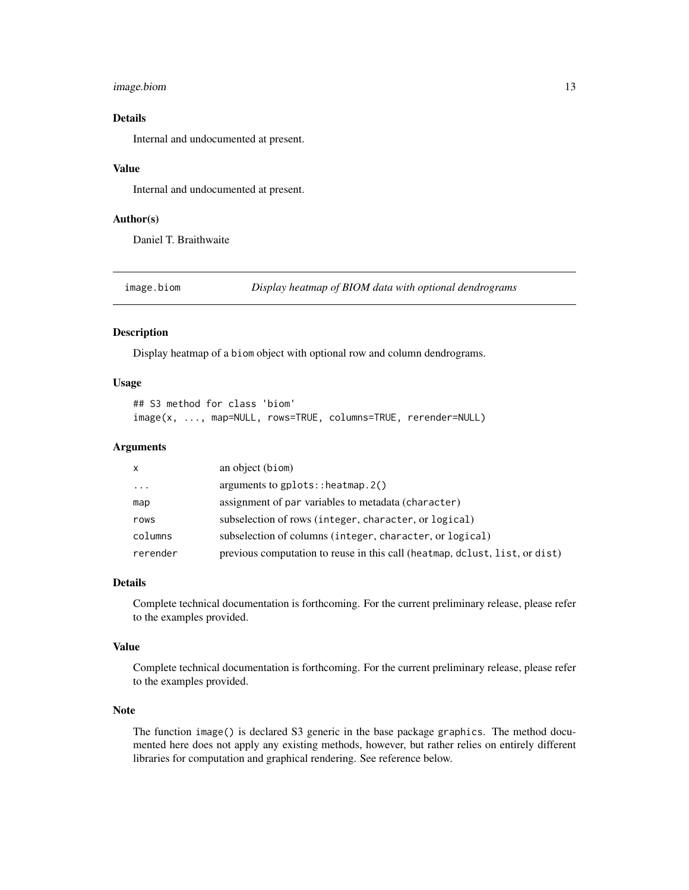#### <span id="page-12-0"></span>image.biom 13

#### Details

Internal and undocumented at present.

#### Value

Internal and undocumented at present.

#### Author(s)

Daniel T. Braithwaite

image.biom *Display heatmap of BIOM data with optional dendrograms*

#### Description

Display heatmap of a biom object with optional row and column dendrograms.

#### Usage

```
## S3 method for class 'biom'
image(x, ..., map=NULL, rows=TRUE, columns=TRUE, rerender=NULL)
```
#### **Arguments**

| X        | an object (biom)                                                            |
|----------|-----------------------------------------------------------------------------|
| $\cdot$  | arguments to $gplots:$ : heatmap. $2()$                                     |
| map      | assignment of par variables to metadata (character)                         |
| rows     | subselection of rows (integer, character, or logical)                       |
| columns  | subselection of columns (integer, character, or logical)                    |
| rerender | previous computation to reuse in this call (heatmap, dclust, list, or dist) |

#### Details

Complete technical documentation is forthcoming. For the current preliminary release, please refer to the examples provided.

#### Value

Complete technical documentation is forthcoming. For the current preliminary release, please refer to the examples provided.

#### Note

The function image() is declared S3 generic in the base package graphics. The method documented here does not apply any existing methods, however, but rather relies on entirely different libraries for computation and graphical rendering. See reference below.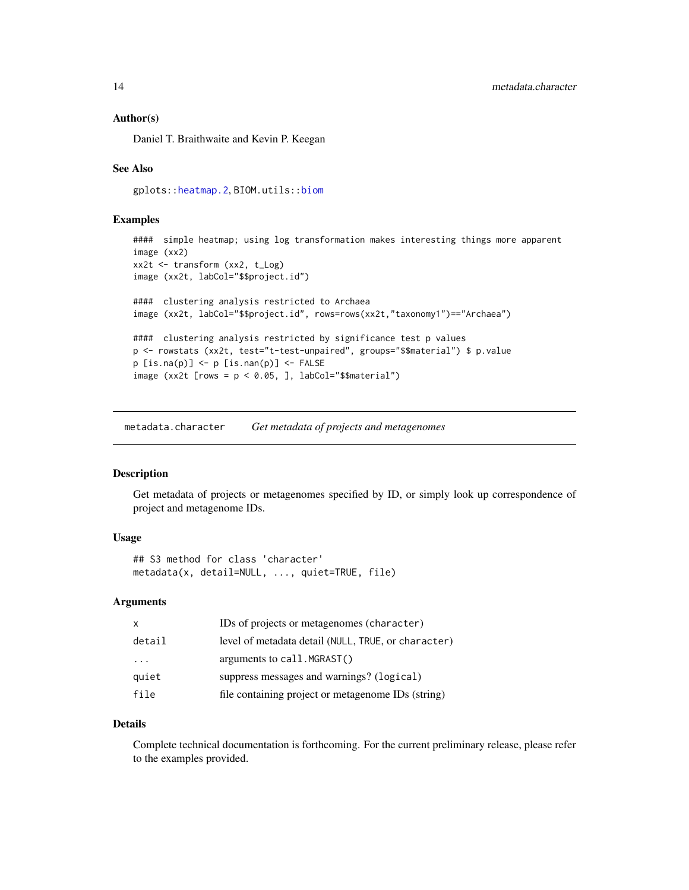#### <span id="page-13-0"></span>Author(s)

Daniel T. Braithwaite and Kevin P. Keegan

#### See Also

gplots:[:heatmap.2](#page-0-0), BIOM.utils:[:biom](#page-0-0)

#### Examples

```
#### simple heatmap; using log transformation makes interesting things more apparent
image (xx2)
xx2t <- transform (xx2, t_Log)
image (xx2t, labCol="$$project.id")
#### clustering analysis restricted to Archaea
image (xx2t, labCol="$$project.id", rows=rows(xx2t,"taxonomy1")=="Archaea")
#### clustering analysis restricted by significance test p values
p <- rowstats (xx2t, test="t-test-unpaired", groups="$$material") $ p.value
p [is.na(p)] <- p [is.nan(p)] <- FALSE
image (xx2t [rows = p < 0.05, ], labCol="$$material")
```
<span id="page-13-1"></span>metadata.character *Get metadata of projects and metagenomes*

#### Description

Get metadata of projects or metagenomes specified by ID, or simply look up correspondence of project and metagenome IDs.

#### Usage

```
## S3 method for class 'character'
metadata(x, detail=NULL, ..., quiet=TRUE, file)
```
#### Arguments

| x                       | IDs of projects or metagenomes (character)          |
|-------------------------|-----------------------------------------------------|
| detail                  | level of metadata detail (NULL, TRUE, or character) |
| $\cdot$ $\cdot$ $\cdot$ | arguments to $call.MGRAST()$                        |
| quiet                   | suppress messages and warnings? (logical)           |
| file                    | file containing project or metagenome IDs (string)  |

### Details

Complete technical documentation is forthcoming. For the current preliminary release, please refer to the examples provided.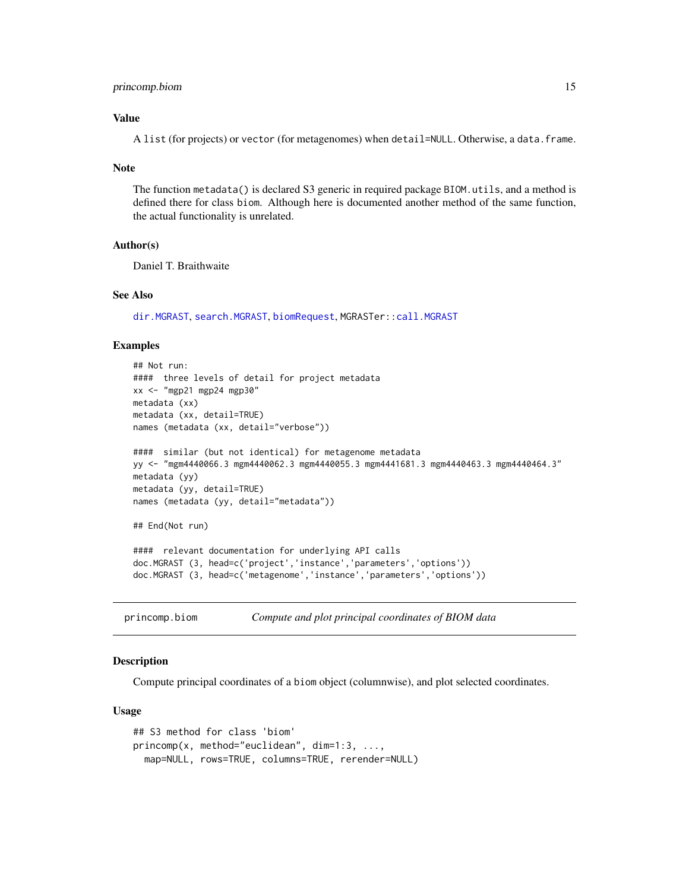#### <span id="page-14-0"></span>princomp.biom 15

#### Value

A list (for projects) or vector (for metagenomes) when detail=NULL. Otherwise, a data.frame.

#### Note

The function metadata() is declared S3 generic in required package BIOM.utils, and a method is defined there for class biom. Although here is documented another method of the same function, the actual functionality is unrelated.

#### Author(s)

Daniel T. Braithwaite

#### See Also

[dir.MGRAST](#page-9-1), [search.MGRAST](#page-17-1), [biomRequest](#page-4-1), MGRASTer:[:call.MGRAST](#page-0-0)

#### Examples

```
## Not run:
#### three levels of detail for project metadata
xx <- "mgp21 mgp24 mgp30"
metadata (xx)
metadata (xx, detail=TRUE)
names (metadata (xx, detail="verbose"))
#### similar (but not identical) for metagenome metadata
yy <- "mgm4440066.3 mgm4440062.3 mgm4440055.3 mgm4441681.3 mgm4440463.3 mgm4440464.3"
metadata (yy)
metadata (yy, detail=TRUE)
names (metadata (yy, detail="metadata"))
## End(Not run)
#### relevant documentation for underlying API calls
doc.MGRAST (3, head=c('project','instance','parameters','options'))
doc.MGRAST (3, head=c('metagenome','instance','parameters','options'))
```
princomp.biom *Compute and plot principal coordinates of BIOM data*

#### Description

Compute principal coordinates of a biom object (columnwise), and plot selected coordinates.

#### Usage

```
## S3 method for class 'biom'
princomp(x, method="euclidean", dim=1:3, ...,
 map=NULL, rows=TRUE, columns=TRUE, rerender=NULL)
```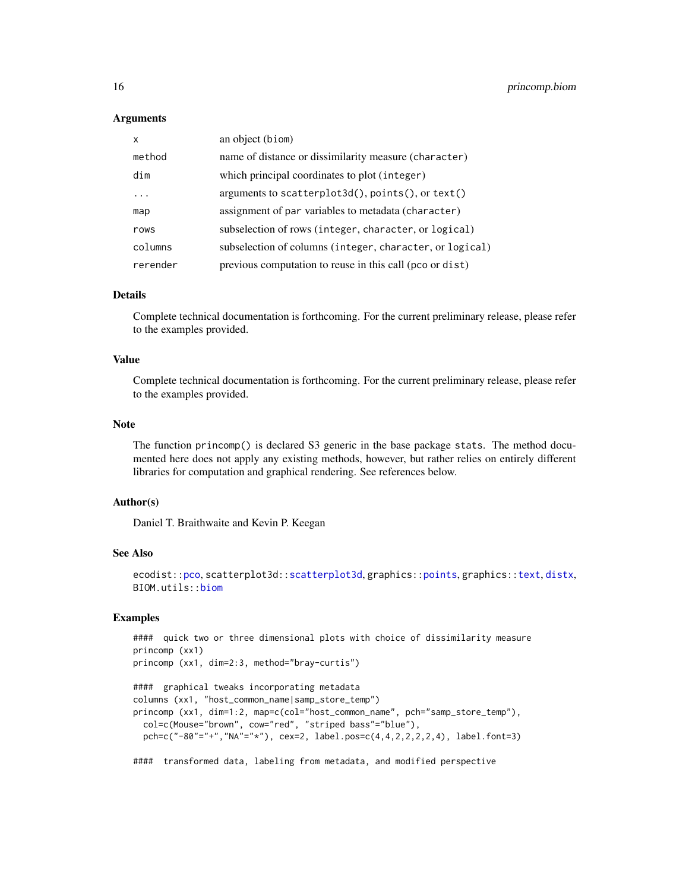#### Arguments

| X        | an object (biom)                                         |
|----------|----------------------------------------------------------|
| method   | name of distance or dissimilarity measure (character)    |
| dim      | which principal coordinates to plot (integer)            |
| .        | arguments to scatterplot3d(), points(), or text()        |
| map      | assignment of par variables to metadata (character)      |
| rows     | subselection of rows (integer, character, or logical)    |
| columns  | subselection of columns (integer, character, or logical) |
| rerender | previous computation to reuse in this call (pco or dist) |

#### **Details**

Complete technical documentation is forthcoming. For the current preliminary release, please refer to the examples provided.

#### Value

Complete technical documentation is forthcoming. For the current preliminary release, please refer to the examples provided.

#### Note

The function princomp() is declared S3 generic in the base package stats. The method documented here does not apply any existing methods, however, but rather relies on entirely different libraries for computation and graphical rendering. See references below.

#### Author(s)

Daniel T. Braithwaite and Kevin P. Keegan

#### See Also

```
ecodist::pco, scatterplot3d::scatterplot3d, graphics::points, graphics::text, distx,
BIOM.utils::biom
```
#### Examples

```
#### quick two or three dimensional plots with choice of dissimilarity measure
princomp (xx1)
princomp (xx1, dim=2:3, method="bray-curtis")
#### graphical tweaks incorporating metadata
columns (xx1, "host_common_name|samp_store_temp")
princomp (xx1, dim=1:2, map=c(col="host_common_name", pch="samp_store_temp"),
 col=c(Mouse="brown", cow="red", "striped bass"="blue"),
 pch=c("-80"="+","NA"="*"), cex=2, label.pos=c(4,4,2,2,2,2,4), label.font=3)
#### transformed data, labeling from metadata, and modified perspective
```
<span id="page-15-0"></span>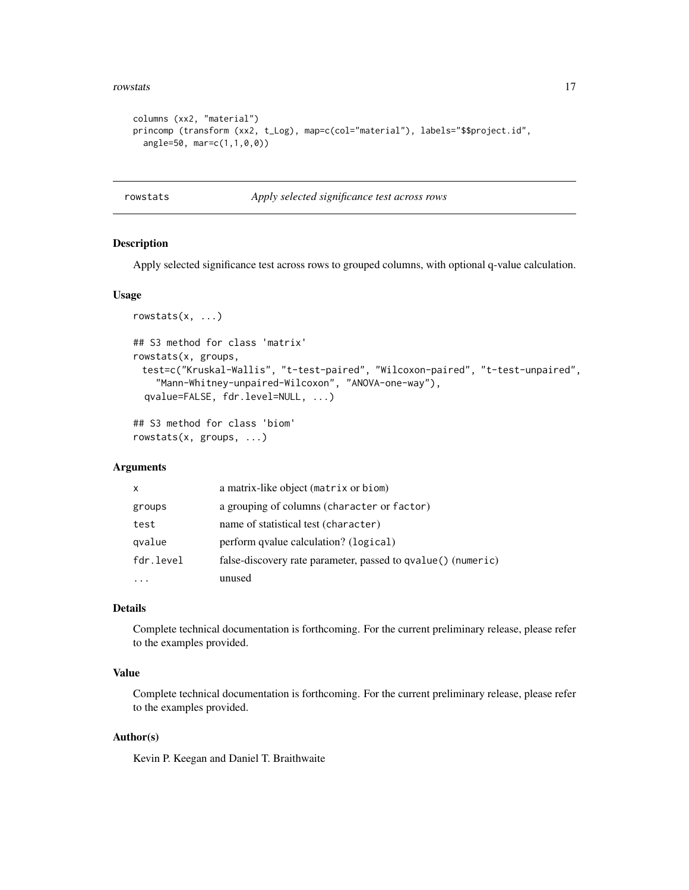#### <span id="page-16-0"></span>rowstats and the contract of the contract of the contract of the contract of the contract of the contract of the contract of the contract of the contract of the contract of the contract of the contract of the contract of t

```
columns (xx2, "material")
princomp (transform (xx2, t_Log), map=c(col="material"), labels="$$project.id",
  angle=50, mar=c(1,1,0,0))
```
rowstats *Apply selected significance test across rows*

#### Description

Apply selected significance test across rows to grouped columns, with optional q-value calculation.

#### Usage

```
rowstats(x, ...)
## S3 method for class 'matrix'
rowstats(x, groups,
 test=c("Kruskal-Wallis", "t-test-paired", "Wilcoxon-paired", "t-test-unpaired",
    "Mann-Whitney-unpaired-Wilcoxon", "ANOVA-one-way"),
 qvalue=FALSE, fdr.level=NULL, ...)
```
## S3 method for class 'biom' rowstats(x, groups, ...)

#### **Arguments**

| x         | a matrix-like object (matrix or biom)                        |
|-----------|--------------------------------------------------------------|
| groups    | a grouping of columns (character or factor)                  |
| test      | name of statistical test (character)                         |
| qvalue    | perform qvalue calculation? (logical)                        |
| fdr.level | false-discovery rate parameter, passed to qvalue() (numeric) |
|           | unused                                                       |

#### Details

Complete technical documentation is forthcoming. For the current preliminary release, please refer to the examples provided.

#### Value

Complete technical documentation is forthcoming. For the current preliminary release, please refer to the examples provided.

#### Author(s)

Kevin P. Keegan and Daniel T. Braithwaite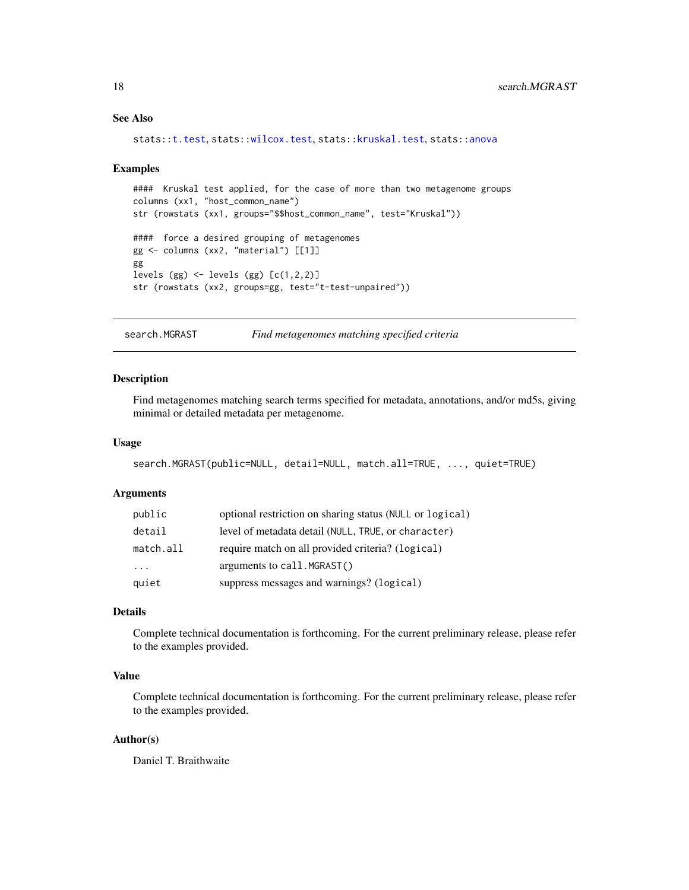#### <span id="page-17-0"></span>See Also

```
stats::t.test, stats::wilcox.test, stats::kruskal.test, stats::anova
```
#### Examples

```
#### Kruskal test applied, for the case of more than two metagenome groups
columns (xx1, "host_common_name")
str (rowstats (xx1, groups="$$host_common_name", test="Kruskal"))
#### force a desired grouping of metagenomes
gg <- columns (xx2, "material") [[1]]
gg
levels (gg) \le levels (gg) [c(1,2,2)]str (rowstats (xx2, groups=gg, test="t-test-unpaired"))
```
<span id="page-17-1"></span>search.MGRAST *Find metagenomes matching specified criteria*

#### Description

Find metagenomes matching search terms specified for metadata, annotations, and/or md5s, giving minimal or detailed metadata per metagenome.

#### Usage

```
search.MGRAST(public=NULL, detail=NULL, match.all=TRUE, ..., quiet=TRUE)
```
#### Arguments

| public                  | optional restriction on sharing status (NULL or logical) |
|-------------------------|----------------------------------------------------------|
| detail                  | level of metadata detail (NULL, TRUE, or character)      |
| match.all               | require match on all provided criteria? (logical)        |
| $\cdot$ $\cdot$ $\cdot$ | arguments to call. MGRAST()                              |
| quiet                   | suppress messages and warnings? (logical)                |

#### Details

Complete technical documentation is forthcoming. For the current preliminary release, please refer to the examples provided.

#### Value

Complete technical documentation is forthcoming. For the current preliminary release, please refer to the examples provided.

#### Author(s)

Daniel T. Braithwaite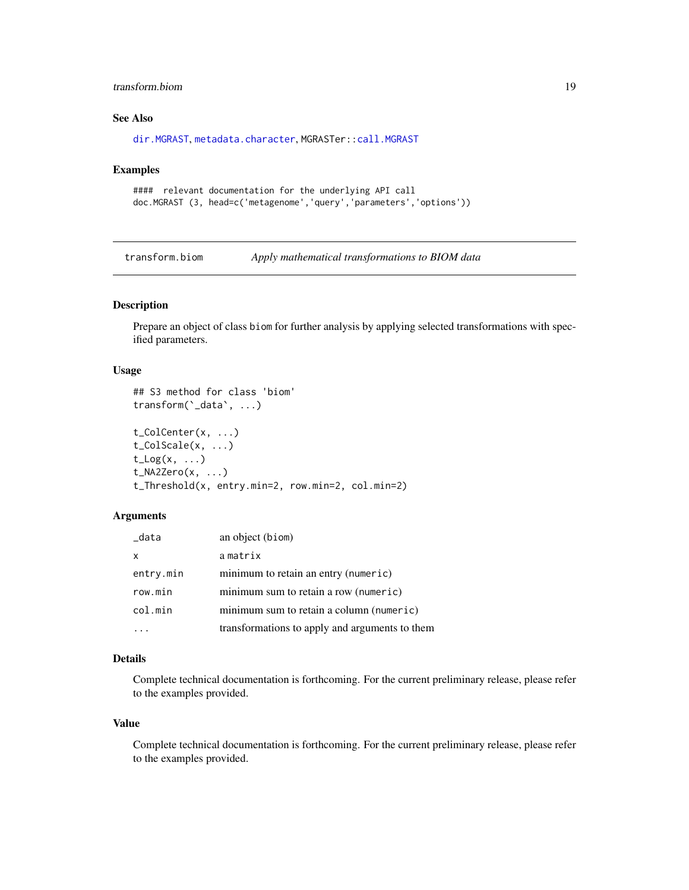#### <span id="page-18-0"></span>transform.biom 19

#### See Also

[dir.MGRAST](#page-9-1), [metadata.character](#page-13-1), MGRASTer:[:call.MGRAST](#page-0-0)

#### Examples

```
#### relevant documentation for the underlying API call
doc.MGRAST (3, head=c('metagenome','query','parameters','options'))
```
transform.biom *Apply mathematical transformations to BIOM data*

### <span id="page-18-1"></span>Description

Prepare an object of class biom for further analysis by applying selected transformations with specified parameters.

#### Usage

```
## S3 method for class 'biom'
transform(`_data`, ...)
t_ColCenter(x, ...)
t_ColScale(x, ...)
t_{\text{Log}(x, \ldots)}t_NA2Zero(x, ...)
t_Threshold(x, entry.min=2, row.min=2, col.min=2)
```
#### Arguments

| _data     | an object (biom)                               |
|-----------|------------------------------------------------|
| X         | amatrix                                        |
| entry.min | minimum to retain an entry (numeric)           |
| row.min   | minimum sum to retain a row (numeric)          |
| col.min   | minimum sum to retain a column (numeric)       |
|           | transformations to apply and arguments to them |

#### Details

Complete technical documentation is forthcoming. For the current preliminary release, please refer to the examples provided.

#### Value

Complete technical documentation is forthcoming. For the current preliminary release, please refer to the examples provided.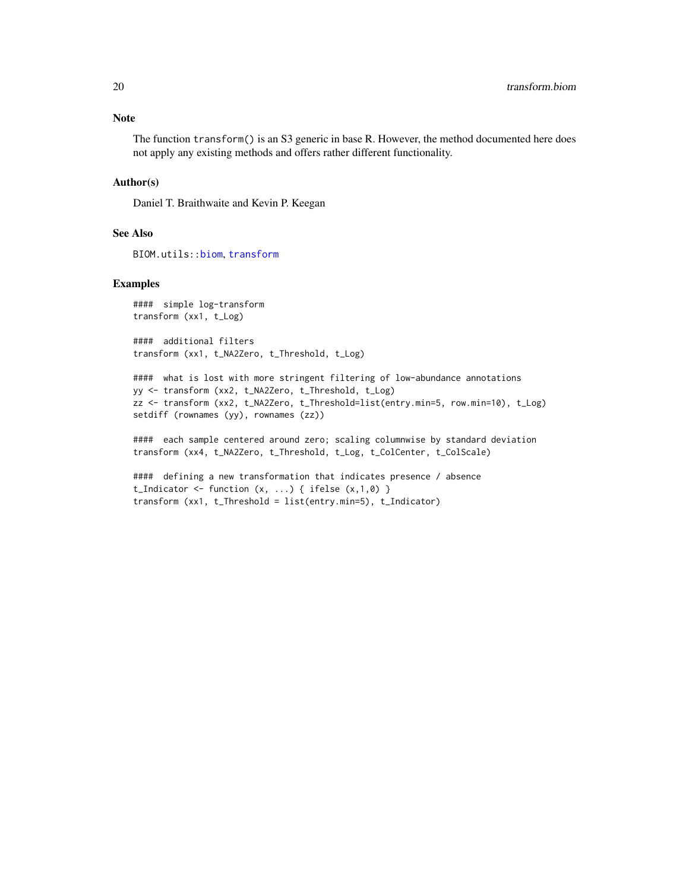#### <span id="page-19-0"></span>Note

The function transform() is an S3 generic in base R. However, the method documented here does not apply any existing methods and offers rather different functionality.

#### Author(s)

Daniel T. Braithwaite and Kevin P. Keegan

#### See Also

BIOM.utils:[:biom](#page-0-0), [transform](#page-18-1)

#### Examples

#### simple log-transform transform (xx1, t\_Log)

#### additional filters transform (xx1, t\_NA2Zero, t\_Threshold, t\_Log)

#### what is lost with more stringent filtering of low-abundance annotations yy <- transform (xx2, t\_NA2Zero, t\_Threshold, t\_Log) zz <- transform (xx2, t\_NA2Zero, t\_Threshold=list(entry.min=5, row.min=10), t\_Log) setdiff (rownames (yy), rownames (zz))

#### each sample centered around zero; scaling columnwise by standard deviation transform (xx4, t\_NA2Zero, t\_Threshold, t\_Log, t\_ColCenter, t\_ColScale)

```
#### defining a new transformation that indicates presence / absence
t_Indicator \leq function (x, \ldots) { ifelse (x,1,0) }
transform (xx1, t_Threshold = list(entry.min=5), t_Indicator)
```